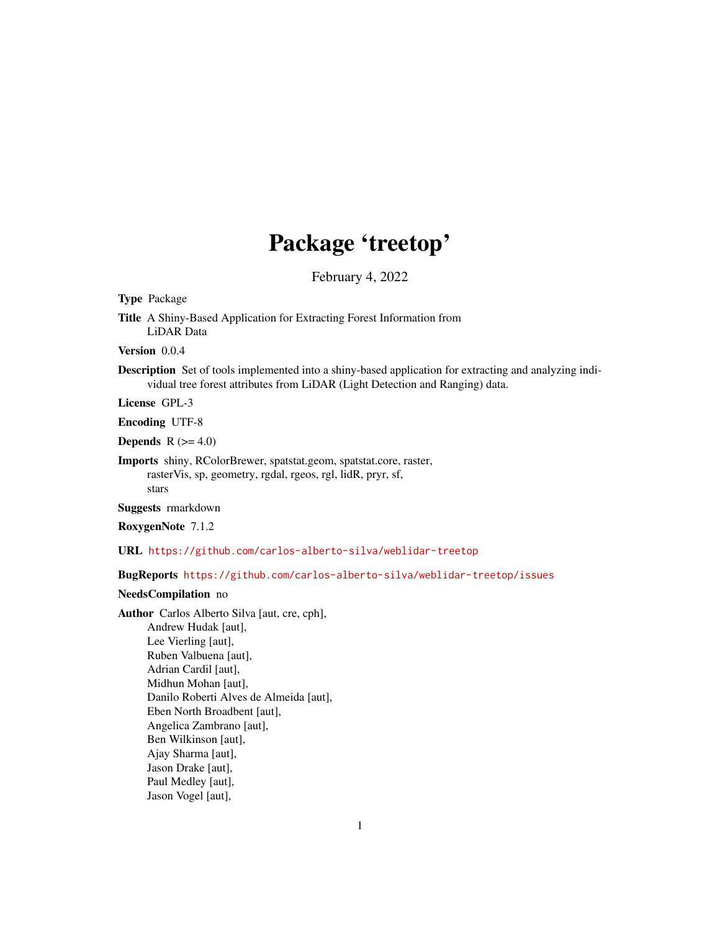## Package 'treetop'

February 4, 2022

<span id="page-0-0"></span>Type Package Title A Shiny-Based Application for Extracting Forest Information from LiDAR Data Version 0.0.4 Description Set of tools implemented into a shiny-based application for extracting and analyzing individual tree forest attributes from LiDAR (Light Detection and Ranging) data. License GPL-3 Encoding UTF-8 **Depends**  $R$  ( $>= 4.0$ ) Imports shiny, RColorBrewer, spatstat.geom, spatstat.core, raster, rasterVis, sp, geometry, rgdal, rgeos, rgl, lidR, pryr, sf, stars Suggests rmarkdown RoxygenNote 7.1.2 URL <https://github.com/carlos-alberto-silva/weblidar-treetop> BugReports <https://github.com/carlos-alberto-silva/weblidar-treetop/issues> NeedsCompilation no Author Carlos Alberto Silva [aut, cre, cph], Andrew Hudak [aut], Lee Vierling [aut], Ruben Valbuena [aut], Adrian Cardil [aut], Midhun Mohan [aut], Danilo Roberti Alves de Almeida [aut], Eben North Broadbent [aut], Angelica Zambrano [aut], Ben Wilkinson [aut], Ajay Sharma [aut], Jason Drake [aut],

Paul Medley [aut], Jason Vogel [aut],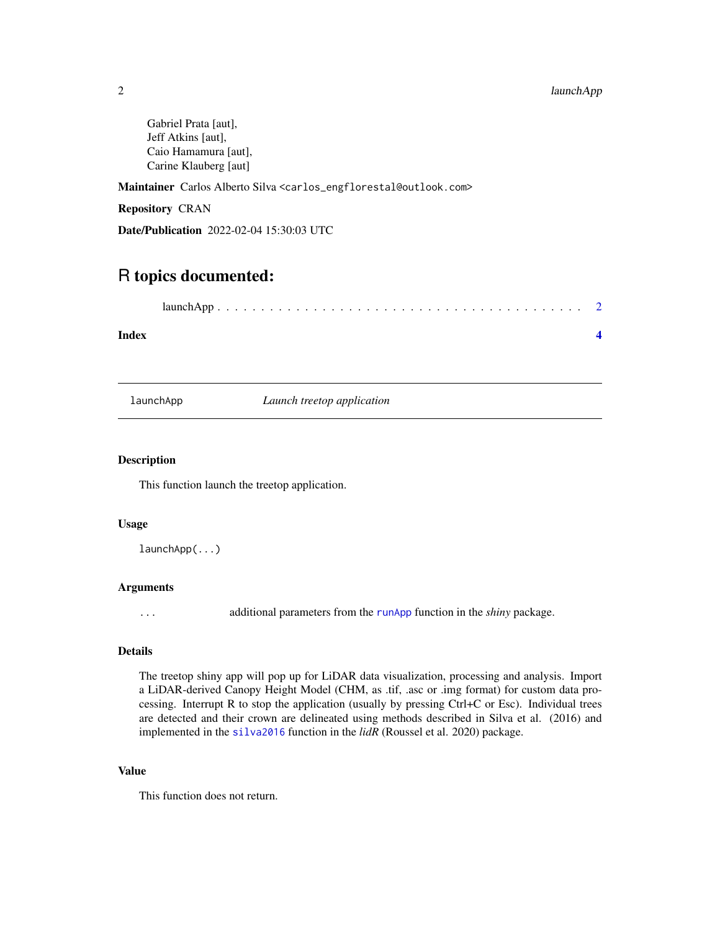#### <span id="page-1-0"></span>2 launch App

Gabriel Prata [aut], Jeff Atkins [aut], Caio Hamamura [aut], Carine Klauberg [aut]

Maintainer Carlos Alberto Silva <carlos\_engflorestal@outlook.com>

Repository CRAN

Date/Publication 2022-02-04 15:30:03 UTC

### R topics documented:

|--|--|--|--|

#### **Index** [4](#page-3-0)

launchApp *Launch treetop application*

#### Description

This function launch the treetop application.

#### Usage

launchApp(...)

#### Arguments

... additional parameters from the [runApp](#page-0-0) function in the *shiny* package.

#### Details

The treetop shiny app will pop up for LiDAR data visualization, processing and analysis. Import a LiDAR-derived Canopy Height Model (CHM, as .tif, .asc or .img format) for custom data processing. Interrupt R to stop the application (usually by pressing Ctrl+C or Esc). Individual trees are detected and their crown are delineated using methods described in Silva et al. (2016) and implemented in the [silva2016](#page-0-0) function in the *lidR* (Roussel et al. 2020) package.

#### Value

This function does not return.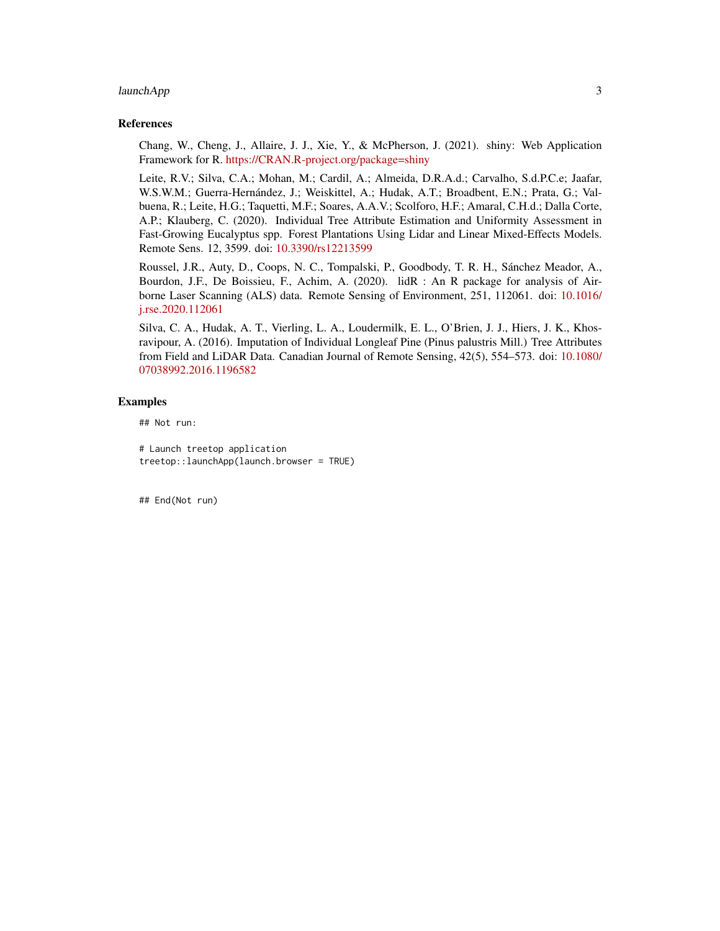#### launchApp 3

#### References

Chang, W., Cheng, J., Allaire, J. J., Xie, Y., & McPherson, J. (2021). shiny: Web Application Framework for R. <https://CRAN.R-project.org/package=shiny>

Leite, R.V.; Silva, C.A.; Mohan, M.; Cardil, A.; Almeida, D.R.A.d.; Carvalho, S.d.P.C.e; Jaafar, W.S.W.M.; Guerra-Hernández, J.; Weiskittel, A.; Hudak, A.T.; Broadbent, E.N.; Prata, G.; Valbuena, R.; Leite, H.G.; Taquetti, M.F.; Soares, A.A.V.; Scolforo, H.F.; Amaral, C.H.d.; Dalla Corte, A.P.; Klauberg, C. (2020). Individual Tree Attribute Estimation and Uniformity Assessment in Fast-Growing Eucalyptus spp. Forest Plantations Using Lidar and Linear Mixed-Effects Models. Remote Sens. 12, 3599. doi: [10.3390/rs12213599](https://doi.org/10.3390/rs12213599)

Roussel, J.R., Auty, D., Coops, N. C., Tompalski, P., Goodbody, T. R. H., Sánchez Meador, A., Bourdon, J.F., De Boissieu, F., Achim, A. (2020). lidR : An R package for analysis of Airborne Laser Scanning (ALS) data. Remote Sensing of Environment, 251, 112061. doi: [10.1016/](https://doi.org/10.1016/j.rse.2020.112061) [j.rse.2020.112061](https://doi.org/10.1016/j.rse.2020.112061)

Silva, C. A., Hudak, A. T., Vierling, L. A., Loudermilk, E. L., O'Brien, J. J., Hiers, J. K., Khosravipour, A. (2016). Imputation of Individual Longleaf Pine (Pinus palustris Mill.) Tree Attributes from Field and LiDAR Data. Canadian Journal of Remote Sensing, 42(5), 554–573. doi: [10.1080/](https://doi.org/10.1080/07038992.2016.1196582) [07038992.2016.1196582](https://doi.org/10.1080/07038992.2016.1196582)

#### Examples

## Not run:

# Launch treetop application treetop::launchApp(launch.browser = TRUE)

## End(Not run)